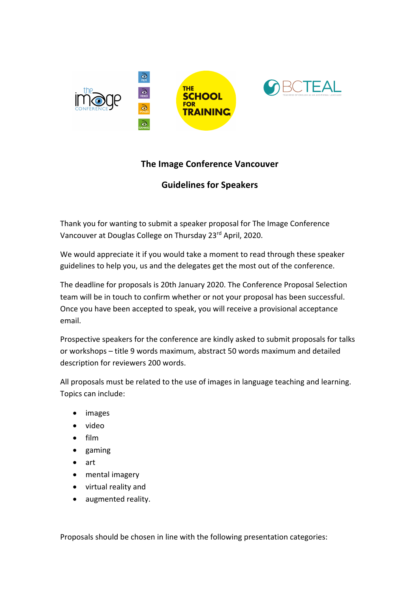

## **The Image Conference Vancouver**

## **Guidelines for Speakers**

Thank you for wanting to submit a speaker proposal for The Image Conference Vancouver at Douglas College on Thursday 23rd April, 2020.

We would appreciate it if you would take a moment to read through these speaker guidelines to help you, us and the delegates get the most out of the conference.

The deadline for proposals is 20th January 2020. The Conference Proposal Selection team will be in touch to confirm whether or not your proposal has been successful. Once you have been accepted to speak, you will receive a provisional acceptance email.

Prospective speakers for the conference are kindly asked to submit proposals for talks or workshops – title 9 words maximum, abstract 50 words maximum and detailed description for reviewers 200 words.

All proposals must be related to the use of images in language teaching and learning. Topics can include:

- images
- video
- film
- gaming
- art
- mental imagery
- virtual reality and
- augmented reality.

Proposals should be chosen in line with the following presentation categories: